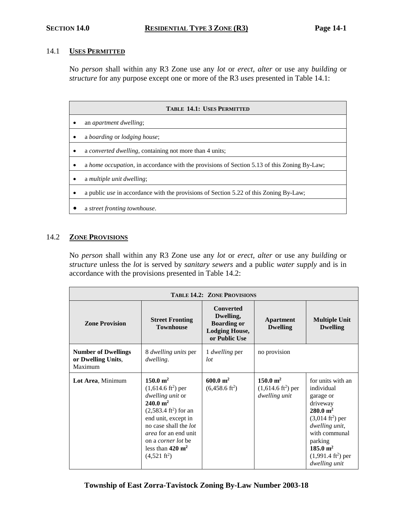### 14.1 **USES PERMITTED**

No *person* shall within any R3 Zone use any *lot* or *erect, alter* or use any *building* or *structure* for any purpose except one or more of the R3 *uses* presented in Table 14.1:

| <b>TABLE 14.1: USES PERMITTED</b> |                                                                                              |  |  |
|-----------------------------------|----------------------------------------------------------------------------------------------|--|--|
|                                   | an <i>apartment dwelling</i> ;                                                               |  |  |
|                                   | a boarding or lodging house;                                                                 |  |  |
|                                   | a <i>converted dwelling</i> , containing not more than 4 units;                              |  |  |
|                                   | a home occupation, in accordance with the provisions of Section 5.13 of this Zoning By-Law;  |  |  |
|                                   | a multiple unit dwelling;                                                                    |  |  |
|                                   | a public <i>use</i> in accordance with the provisions of Section 5.22 of this Zoning By-Law; |  |  |
|                                   | a street fronting townhouse.                                                                 |  |  |

### 14.2 **ZONE PROVISIONS**

No *person* shall within any R3 Zone use any *lot* or *erect, alter* or use any *building* or *structure* unless the *lot* is served by *sanitary sewers* and a public *water supply* and is in accordance with the provisions presented in Table 14.2:

| <b>TABLE 14.2: ZONE PROVISIONS</b>                          |                                                                                                                                                                                                                                                                                                                   |                                                                                               |                                                                          |                                                                                                                                                                                                                                         |
|-------------------------------------------------------------|-------------------------------------------------------------------------------------------------------------------------------------------------------------------------------------------------------------------------------------------------------------------------------------------------------------------|-----------------------------------------------------------------------------------------------|--------------------------------------------------------------------------|-----------------------------------------------------------------------------------------------------------------------------------------------------------------------------------------------------------------------------------------|
| <b>Zone Provision</b>                                       | <b>Street Fronting</b><br><b>Townhouse</b>                                                                                                                                                                                                                                                                        | <b>Converted</b><br>Dwelling,<br><b>Boarding or</b><br><b>Lodging House,</b><br>or Public Use | <b>Apartment</b><br><b>Dwelling</b>                                      | <b>Multiple Unit</b><br><b>Dwelling</b>                                                                                                                                                                                                 |
| <b>Number of Dwellings</b><br>or Dwelling Units,<br>Maximum | 8 <i>dwelling units</i> per<br><i>dwelling.</i>                                                                                                                                                                                                                                                                   | 1 <i>dwelling</i> per<br>lot                                                                  | no provision                                                             |                                                                                                                                                                                                                                         |
| Lot Area, Minimum                                           | $150.0 \; \mathrm{m}^2$<br>$(1,614.6 \text{ ft}^2)$ per<br>dwelling unit or<br>$240.0 \text{ m}^2$<br>$(2,583.4 \text{ ft}^2)$ for an<br>end unit, except in<br>no case shall the <i>lot</i><br><i>area</i> for an end unit<br>on a <i>corner lot</i> be<br>less than $420 \text{ m}^2$<br>$(4,521 \text{ ft}^2)$ | $600.0 \; \mathrm{m}^2$<br>$(6,458.6 \text{ ft}^2)$                                           | $150.0 \; \mathrm{m}^2$<br>$(1,614.6 \text{ ft}^2)$ per<br>dwelling unit | for units with an<br>individual<br>garage or<br>driveway<br>$280.0 \; \mathrm{m}^2$<br>$(3,014 \text{ ft}^2)$ per<br>dwelling unit,<br>with communal<br>parking<br>$185.0 \text{ m}^2$<br>$(1,991.4 \text{ ft}^2)$ per<br>dwelling unit |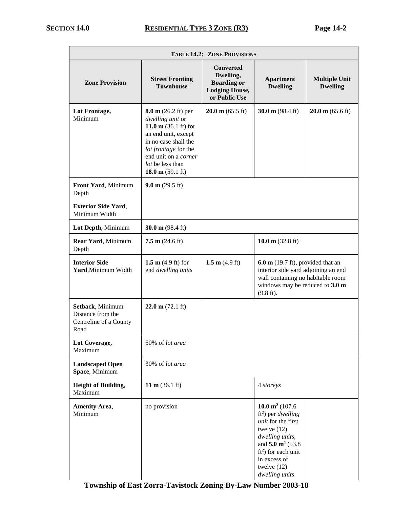| <b>TABLE 14.2: ZONE PROVISIONS</b>                                      |                                                                                                                                                                                                                                      |                                                                                               |                                                                                                                                                                                                                                    |                                         |
|-------------------------------------------------------------------------|--------------------------------------------------------------------------------------------------------------------------------------------------------------------------------------------------------------------------------------|-----------------------------------------------------------------------------------------------|------------------------------------------------------------------------------------------------------------------------------------------------------------------------------------------------------------------------------------|-----------------------------------------|
| <b>Zone Provision</b>                                                   | <b>Street Fronting</b><br><b>Townhouse</b>                                                                                                                                                                                           | <b>Converted</b><br>Dwelling,<br><b>Boarding or</b><br><b>Lodging House,</b><br>or Public Use | <b>Apartment</b><br><b>Dwelling</b>                                                                                                                                                                                                | <b>Multiple Unit</b><br><b>Dwelling</b> |
| Lot Frontage,<br>Minimum                                                | $8.0 \text{ m}$ (26.2 ft) per<br>dwelling unit or<br>11.0 m $(36.1 \text{ ft})$ for<br>an end unit, except<br>in no case shall the<br>lot frontage for the<br>end unit on a corner<br>lot be less than<br>18.0 m $(59.1 \text{ ft})$ | $20.0 \text{ m}$ (65.5 ft)                                                                    | 30.0 m $(98.4 \text{ ft})$                                                                                                                                                                                                         | $20.0 \text{ m}$ (65.6 ft)              |
| Front Yard, Minimum<br>Depth                                            | $9.0 \text{ m}$ (29.5 ft)                                                                                                                                                                                                            |                                                                                               |                                                                                                                                                                                                                                    |                                         |
| <b>Exterior Side Yard,</b><br>Minimum Width                             |                                                                                                                                                                                                                                      |                                                                                               |                                                                                                                                                                                                                                    |                                         |
| Lot Depth, Minimum                                                      | 30.0 m $(98.4 \text{ ft})$                                                                                                                                                                                                           |                                                                                               |                                                                                                                                                                                                                                    |                                         |
| Rear Yard, Minimum<br>Depth                                             | 7.5 m $(24.6 \text{ ft})$                                                                                                                                                                                                            |                                                                                               | 10.0 m $(32.8 \text{ ft})$                                                                                                                                                                                                         |                                         |
| <b>Interior Side</b><br>Yard, Minimum Width                             | 1.5 $m$ (4.9 ft) for<br>end dwelling units                                                                                                                                                                                           | 1.5 m $(4.9 \text{ ft})$                                                                      | $6.0 \text{ m}$ (19.7 ft), provided that an<br>interior side yard adjoining an end<br>wall containing no habitable room<br>windows may be reduced to 3.0 m<br>$(9.8 \text{ ft})$ .                                                 |                                         |
| Setback, Minimum<br>Distance from the<br>Centreline of a County<br>Road | $22.0 \text{ m} (72.1 \text{ ft})$                                                                                                                                                                                                   |                                                                                               |                                                                                                                                                                                                                                    |                                         |
| Lot Coverage,<br>Maximum                                                | 50% of lot area                                                                                                                                                                                                                      |                                                                                               |                                                                                                                                                                                                                                    |                                         |
| <b>Landscaped Open</b><br>Space, Minimum                                | 30% of lot area                                                                                                                                                                                                                      |                                                                                               |                                                                                                                                                                                                                                    |                                         |
| <b>Height of Building,</b><br>Maximum                                   | 11 m $(36.1 \text{ ft})$                                                                                                                                                                                                             |                                                                                               | 4 storeys                                                                                                                                                                                                                          |                                         |
| <b>Amenity Area,</b><br>Minimum                                         | no provision                                                                                                                                                                                                                         |                                                                                               | 10.0 $m^2$ (107.6)<br>ft <sup>2</sup> ) per <i>dwelling</i><br>unit for the first<br>twelve $(12)$<br>dwelling units,<br>and 5.0 $\mathrm{m}^2$ (53.8)<br>$ft2$ ) for each unit<br>in excess of<br>twelve $(12)$<br>dwelling units |                                         |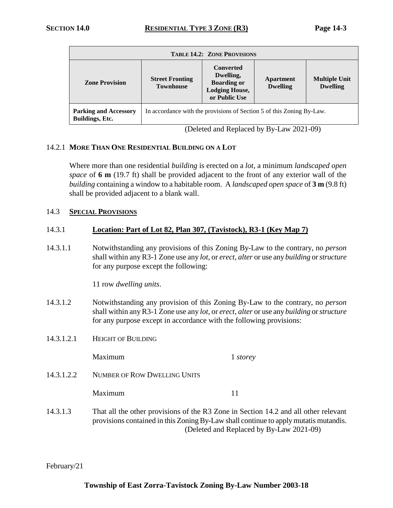| <b>TABLE 14.2: ZONE PROVISIONS</b>                     |                                                                       |                                                                                               |                                     |                                         |
|--------------------------------------------------------|-----------------------------------------------------------------------|-----------------------------------------------------------------------------------------------|-------------------------------------|-----------------------------------------|
| <b>Zone Provision</b>                                  | <b>Street Fronting</b><br><b>Townhouse</b>                            | <b>Converted</b><br>Dwelling,<br><b>Boarding or</b><br><b>Lodging House,</b><br>or Public Use | <b>Apartment</b><br><b>Dwelling</b> | <b>Multiple Unit</b><br><b>Dwelling</b> |
| <b>Parking and Accessory</b><br><b>Buildings, Etc.</b> | In accordance with the provisions of Section 5 of this Zoning By-Law. |                                                                                               |                                     |                                         |

(Deleted and Replaced by By-Law 2021-09)

### 14.2.1 **MORE THAN ONE RESIDENTIAL BUILDING ON A LOT**

Where more than one residential *building* is erected on a *lot*, a minimum *landscaped open space* of **6 m** (19.7 ft) shall be provided adjacent to the front of any exterior wall of the *building* containing a window to a habitable room. A *landscaped open space* of **3 m** (9.8 ft) shall be provided adjacent to a blank wall.

### 14.3 **SPECIAL PROVISIONS**

### 14.3.1 **Location: Part of Lot 82, Plan 307, (Tavistock), R3-1 (Key Map 7)**

14.3.1.1 Notwithstanding any provisions of this Zoning By-Law to the contrary, no *person* shall within any R3-1 Zone use any *lot*, or *erect, alter* or use any *building* or *structure* for any purpose except the following:

11 row *dwelling units*.

- 14.3.1.2 Notwithstanding any provision of this Zoning By-Law to the contrary, no *person* shall within any R3-1 Zone use any *lot*, or *erect, alter* or use any *building* or *structure* for any purpose except in accordance with the following provisions:
- 14.3.1.2.1 HEIGHT OF BUILDING

Maximum 1 *storey*

14.3.1.2.2 NUMBER OF ROW DWELLING UNITS

Maximum 11

14.3.1.3 That all the other provisions of the R3 Zone in Section 14.2 and all other relevant provisions contained in this Zoning By-Law shall continue to apply mutatis mutandis. (Deleted and Replaced by By-Law 2021-09)

February/21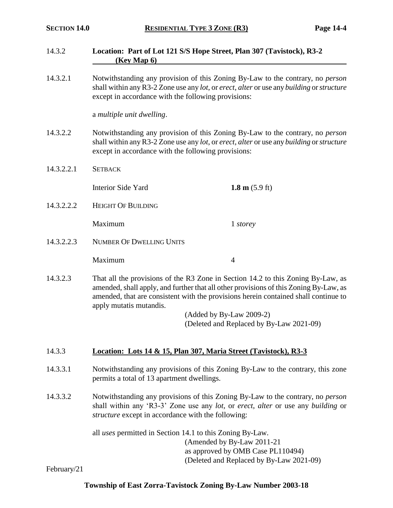### 14.3.2 **Location: Part of Lot 121 S/S Hope Street, Plan 307 (Tavistock), R3-2 (Key Map 6)**

14.3.2.1 Notwithstanding any provision of this Zoning By-Law to the contrary, no *person* shall within any R3-2 Zone use any *lot*, or *erect, alter* or use any *building* or *structure* except in accordance with the following provisions:

a *multiple unit dwelling*.

- 14.3.2.2 Notwithstanding any provision of this Zoning By-Law to the contrary, no *person* shall within any R3-2 Zone use any *lot*, or *erect, alter* or use any *building* or *structure* except in accordance with the following provisions:
- 14.3.2.2.1 SETBACK

Interior Side Yard **1.8 m** (5.9 ft)

14.3.2.2.2 HEIGHT OF BUILDING

Maximum 1 *storey*

14.3.2.2.3 NUMBER OF DWELLING UNITS

Maximum 4

14.3.2.3 That all the provisions of the R3 Zone in Section 14.2 to this Zoning By-Law, as amended, shall apply, and further that all other provisions of this Zoning By-Law, as amended, that are consistent with the provisions herein contained shall continue to apply mutatis mutandis.

> (Added by By-Law 2009-2) (Deleted and Replaced by By-Law 2021-09)

## 14.3.3 **Location: Lots 14 & 15, Plan 307, Maria Street (Tavistock), R3-3**

- 14.3.3.1 Notwithstanding any provisions of this Zoning By-Law to the contrary, this zone permits a total of 13 apartment dwellings.
- 14.3.3.2 Notwithstanding any provisions of this Zoning By-Law to the contrary, no *person* shall within any 'R3-3' Zone use any *lot*, or *erect*, *alter* or use any *building* or *structure* except in accordance with the following:

all *uses* permitted in Section 14.1 to this Zoning By-Law. (Amended by By-Law 2011-21 as approved by OMB Case PL110494) (Deleted and Replaced by By-Law 2021-09)

February/21

## **Township of East Zorra-Tavistock Zoning By-Law Number 2003-18**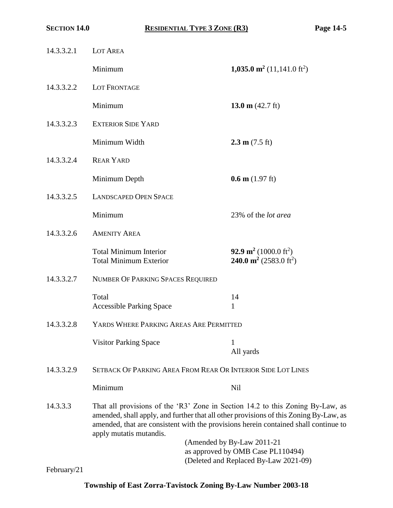| 14.3.3.2.1 | LOT AREA                                                                                                                                                                                                                                                                                  |                                                                                                           |  |  |
|------------|-------------------------------------------------------------------------------------------------------------------------------------------------------------------------------------------------------------------------------------------------------------------------------------------|-----------------------------------------------------------------------------------------------------------|--|--|
|            | Minimum                                                                                                                                                                                                                                                                                   | 1,035.0 m <sup>2</sup> (11,141.0 ft <sup>2</sup> )                                                        |  |  |
| 14.3.3.2.2 | <b>LOT FRONTAGE</b>                                                                                                                                                                                                                                                                       |                                                                                                           |  |  |
|            | Minimum                                                                                                                                                                                                                                                                                   | 13.0 m $(42.7 \text{ ft})$                                                                                |  |  |
| 14.3.3.2.3 | <b>EXTERIOR SIDE YARD</b>                                                                                                                                                                                                                                                                 |                                                                                                           |  |  |
|            | Minimum Width                                                                                                                                                                                                                                                                             | $2.3 \text{ m} (7.5 \text{ ft})$                                                                          |  |  |
| 14.3.3.2.4 | <b>REAR YARD</b>                                                                                                                                                                                                                                                                          |                                                                                                           |  |  |
|            | Minimum Depth                                                                                                                                                                                                                                                                             | $0.6 \text{ m}$ (1.97 ft)                                                                                 |  |  |
| 14.3.3.2.5 | <b>LANDSCAPED OPEN SPACE</b>                                                                                                                                                                                                                                                              |                                                                                                           |  |  |
|            | Minimum                                                                                                                                                                                                                                                                                   | 23% of the <i>lot area</i>                                                                                |  |  |
| 14.3.3.2.6 | <b>AMENITY AREA</b>                                                                                                                                                                                                                                                                       |                                                                                                           |  |  |
|            | <b>Total Minimum Interior</b><br><b>Total Minimum Exterior</b>                                                                                                                                                                                                                            | 92.9 m <sup>2</sup> (1000.0 ft <sup>2</sup> )<br><b>240.0 m<sup>2</sup></b> (2583.0 ft <sup>2</sup> )     |  |  |
| 14.3.3.2.7 | NUMBER OF PARKING SPACES REQUIRED                                                                                                                                                                                                                                                         |                                                                                                           |  |  |
|            | Total<br><b>Accessible Parking Space</b>                                                                                                                                                                                                                                                  | 14<br>$\mathbf{1}$                                                                                        |  |  |
| 14.3.3.2.8 | YARDS WHERE PARKING AREAS ARE PERMITTED                                                                                                                                                                                                                                                   |                                                                                                           |  |  |
|            | <b>Visitor Parking Space</b>                                                                                                                                                                                                                                                              | 1<br>All yards                                                                                            |  |  |
| 14.3.3.2.9 | <b>SETBACK OF PARKING AREA FROM REAR OR INTERIOR SIDE LOT LINES</b>                                                                                                                                                                                                                       |                                                                                                           |  |  |
|            | Minimum                                                                                                                                                                                                                                                                                   | <b>Nil</b>                                                                                                |  |  |
| 14.3.3.3   | That all provisions of the 'R3' Zone in Section 14.2 to this Zoning By-Law, as<br>amended, shall apply, and further that all other provisions of this Zoning By-Law, as<br>amended, that are consistent with the provisions herein contained shall continue to<br>apply mutatis mutandis. |                                                                                                           |  |  |
|            |                                                                                                                                                                                                                                                                                           | (Amended by By-Law 2011-21)<br>as approved by OMB Case PL110494)<br>(Deleted and Replaced By-Law 2021-09) |  |  |

February/21

# **Township of East Zorra-Tavistock Zoning By-Law Number 2003-18**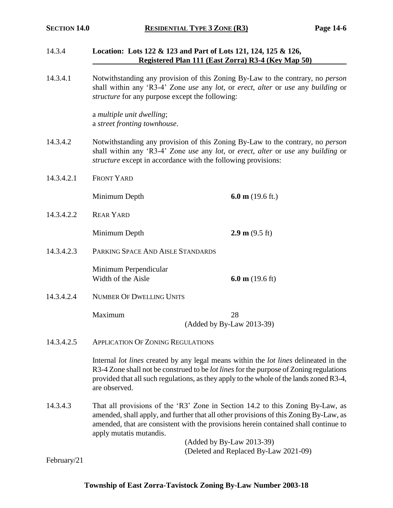### 14.3.4 **Location: Lots 122 & 123 and Part of Lots 121, 124, 125 & 126, Registered Plan 111 (East Zorra) R3-4 (Key Map 50)**

14.3.4.1 Notwithstanding any provision of this Zoning By-Law to the contrary, no *person* shall within any 'R3-4' Zone *use* any *lot*, or *erect*, *alter* or *use* any *building* or *structure* for any purpose except the following:

> a *multiple unit dwelling*; a *street fronting townhouse*.

- 14.3.4.2 Notwithstanding any provision of this Zoning By-Law to the contrary, no *person* shall within any 'R3-4' Zone *use* any *lot*, or *erect*, *alter* or *use* any *building* or *structure* except in accordance with the following provisions:
- 14.3.4.2.1 FRONT YARD

Minimum Depth **6.0 m** (19.6 ft.)

14.3.4.2.2 REAR YARD

**Minimum Depth 2.9 m** (9.5 ft)

14.3.4.2.3 PARKING SPACE AND AISLE STANDARDS

Minimum Perpendicular Width of the Aisle **6.0 m** (19.6 ft)

14.3.4.2.4 NUMBER OF DWELLING UNITS

Maximum 28

(Added by By-Law 2013-39)

14.3.4.2.5 APPLICATION OF ZONING REGULATIONS

Internal *lot lines* created by any legal means within the *lot lines* delineated in the R3-4 Zone shall not be construed to be *lot lines* for the purpose of Zoning regulations provided that all such regulations, as they apply to the whole of the lands zoned R3-4, are observed.

14.3.4.3 That all provisions of the 'R3' Zone in Section 14.2 to this Zoning By-Law, as amended, shall apply, and further that all other provisions of this Zoning By-Law, as amended, that are consistent with the provisions herein contained shall continue to apply mutatis mutandis.

> (Added by By-Law 2013-39) (Deleted and Replaced By-Law 2021-09)

February/21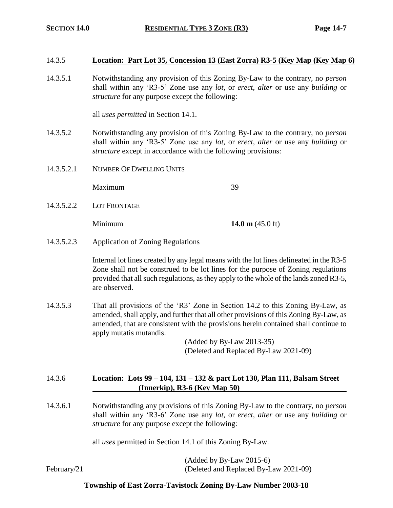### 14.3.5 **Location: Part Lot 35, Concession 13 (East Zorra) R3-5 (Key Map (Key Map 6)**

14.3.5.1 Notwithstanding any provision of this Zoning By-Law to the contrary, no *person* shall within any 'R3-5' Zone use any *lot*, or *erect*, *alter* or use any *building* or *structure* for any purpose except the following:

all *uses permitted* in Section 14.1.

- 14.3.5.2 Notwithstanding any provision of this Zoning By-Law to the contrary, no *person* shall within any 'R3-5' Zone use any *lot*, or *erect*, *alter* or use any *building* or *structure* except in accordance with the following provisions:
- 14.3.5.2.1 NUMBER OF DWELLING UNITS

Maximum 39

14.3.5.2.2 LOT FRONTAGE

Minimum **14.0 m** (45.0 ft)

14.3.5.2.3 Application of Zoning Regulations

Internal lot lines created by any legal means with the lot lines delineated in the R3-5 Zone shall not be construed to be lot lines for the purpose of Zoning regulations provided that all such regulations, as they apply to the whole of the lands zoned R3-5, are observed.

14.3.5.3 That all provisions of the 'R3' Zone in Section 14.2 to this Zoning By-Law, as amended, shall apply, and further that all other provisions of this Zoning By-Law, as amended, that are consistent with the provisions herein contained shall continue to apply mutatis mutandis.

> (Added by By-Law 2013-35) (Deleted and Replaced By-Law 2021-09)

### 14.3.6 **Location: Lots 99 – 104, 131 – 132 & part Lot 130, Plan 111, Balsam Street (Innerkip), R3-6 (Key Map 50)**

14.3.6.1 Notwithstanding any provisions of this Zoning By-Law to the contrary, no *person* shall within any 'R3-6' Zone use any *lot*, or *erect*, *alter* or use any *building* or *structure* for any purpose except the following:

all *uses* permitted in Section 14.1 of this Zoning By-Law.

(Added by By-Law 2015-6) February/21 (Deleted and Replaced By-Law 2021-09)

### **Township of East Zorra-Tavistock Zoning By-Law Number 2003-18**